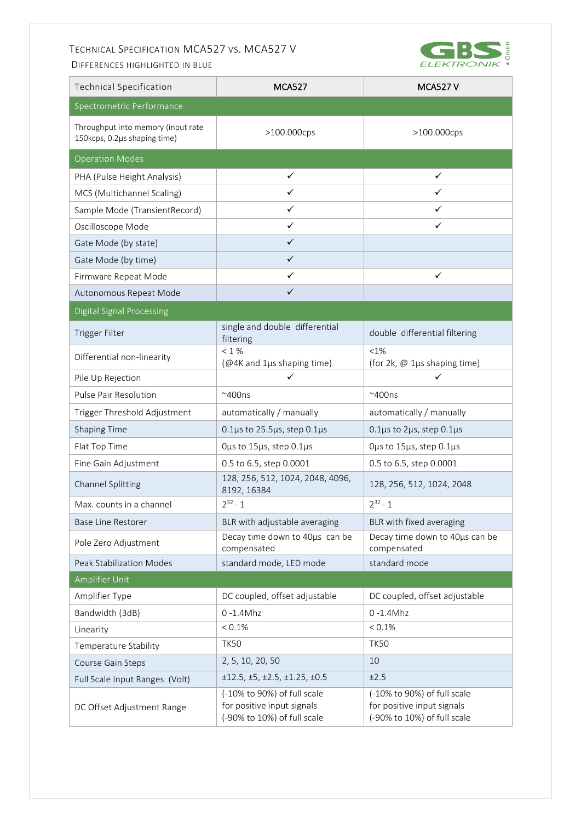## TECHNICAL SPECIFICATION MCA527 VS. MCA527 V

DIFFERENCES HIGHLIGHTED IN BLUE



| <b>Technical Specification</b>                                     | <b>MCA527</b>                                                                            | <b>MCA527 V</b>                                                                          |  |
|--------------------------------------------------------------------|------------------------------------------------------------------------------------------|------------------------------------------------------------------------------------------|--|
| Spectrometric Performance                                          |                                                                                          |                                                                                          |  |
| Throughput into memory (input rate<br>150kcps, 0.2µs shaping time) | >100.000cps                                                                              | >100.000cps                                                                              |  |
| <b>Operation Modes</b>                                             |                                                                                          |                                                                                          |  |
| PHA (Pulse Height Analysis)                                        | ✓                                                                                        | $\checkmark$                                                                             |  |
| MCS (Multichannel Scaling)                                         | ✓                                                                                        | ✓                                                                                        |  |
| Sample Mode (TransientRecord)                                      | ✓                                                                                        | ✓                                                                                        |  |
| Oscilloscope Mode                                                  | ✓                                                                                        | ✓                                                                                        |  |
| Gate Mode (by state)                                               | $\checkmark$                                                                             |                                                                                          |  |
| Gate Mode (by time)                                                | ✓                                                                                        |                                                                                          |  |
| Firmware Repeat Mode                                               | ✓                                                                                        | $\checkmark$                                                                             |  |
| Autonomous Repeat Mode                                             | $\checkmark$                                                                             |                                                                                          |  |
| <b>Digital Signal Processing</b>                                   |                                                                                          |                                                                                          |  |
| Trigger Filter                                                     | single and double differential<br>filtering                                              | double differential filtering                                                            |  |
| Differential non-linearity                                         | $<$ 1 $\%$<br>(@4K and 1µs shaping time)                                                 | $<1\%$<br>(for 2k, @ 1µs shaping time)                                                   |  |
| Pile Up Rejection                                                  | ✓                                                                                        | ✓                                                                                        |  |
| Pulse Pair Resolution                                              | $~\sim$ 400ns                                                                            | $~\sim$ 400ns                                                                            |  |
| Trigger Threshold Adjustment                                       | automatically / manually                                                                 | automatically / manually                                                                 |  |
| <b>Shaping Time</b>                                                | $0.1\mu s$ to 25.5 $\mu s$ , step 0.1 $\mu s$                                            | $0.1\mu s$ to 2 $\mu s$ , step 0.1 $\mu s$                                               |  |
| Flat Top Time                                                      | Ous to 15us, step 0.1us                                                                  | Ous to 15us, step 0.1us                                                                  |  |
| Fine Gain Adjustment                                               | 0.5 to 6.5, step 0.0001                                                                  | 0.5 to 6.5, step 0.0001                                                                  |  |
| <b>Channel Splitting</b>                                           | 128, 256, 512, 1024, 2048, 4096,<br>8192, 16384                                          | 128, 256, 512, 1024, 2048                                                                |  |
| Max. counts in a channel                                           | $2^{32} - 1$                                                                             | $2^{32} - 1$                                                                             |  |
| <b>Base Line Restorer</b>                                          | BLR with adjustable averaging                                                            | BLR with fixed averaging                                                                 |  |
| Pole Zero Adjustment                                               | Decay time down to 40us can be<br>compensated                                            | Decay time down to 40us can be<br>compensated                                            |  |
| <b>Peak Stabilization Modes</b>                                    | standard mode, LED mode                                                                  | standard mode                                                                            |  |
| Amplifier Unit                                                     |                                                                                          |                                                                                          |  |
| Amplifier Type                                                     | DC coupled, offset adjustable                                                            | DC coupled, offset adjustable                                                            |  |
| Bandwidth (3dB)                                                    | $0 - 1.4$ Mhz                                                                            | $0 - 1.4$ Mhz                                                                            |  |
| Linearity                                                          | < 0.1%                                                                                   | $< 0.1\%$                                                                                |  |
| Temperature Stability                                              | <b>TK50</b>                                                                              | <b>TK50</b>                                                                              |  |
| Course Gain Steps                                                  | 2, 5, 10, 20, 50                                                                         | 10                                                                                       |  |
| Full Scale Input Ranges (Volt)                                     | $\pm$ 12.5, $\pm$ 5, $\pm$ 2.5, $\pm$ 1.25, $\pm$ 0.5                                    | ±2.5                                                                                     |  |
| DC Offset Adjustment Range                                         | (-10% to 90%) of full scale<br>for positive input signals<br>(-90% to 10%) of full scale | (-10% to 90%) of full scale<br>for positive input signals<br>(-90% to 10%) of full scale |  |